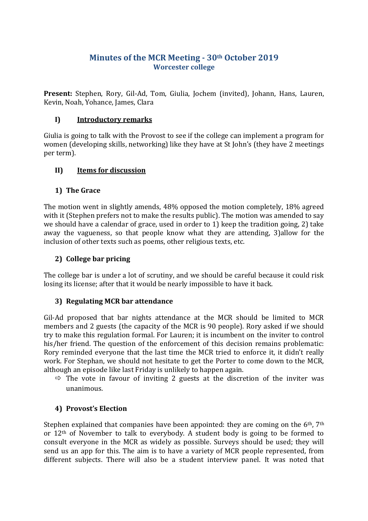# **Minutes of the MCR Meeting - 30th October 2019 Worcester college**

**Present:** Stephen, Rory, Gil-Ad, Tom, Giulia, Jochem (invited), Johann, Hans, Lauren, Kevin, Noah, Yohance, James, Clara

### **I) Introductory remarks**

Giulia is going to talk with the Provost to see if the college can implement a program for women (developing skills, networking) like they have at St John's (they have 2 meetings per term).

#### **II) Items for discussion**

#### **1) The Grace**

The motion went in slightly amends, 48% opposed the motion completely, 18% agreed with it (Stephen prefers not to make the results public). The motion was amended to say we should have a calendar of grace, used in order to 1) keep the tradition going, 2) take away the vagueness, so that people know what they are attending, 3)allow for the inclusion of other texts such as poems, other religious texts, etc.

### **2) College bar pricing**

The college bar is under a lot of scrutiny, and we should be careful because it could risk losing its license; after that it would be nearly impossible to have it back.

#### **3) Regulating MCR bar attendance**

Gil-Ad proposed that bar nights attendance at the MCR should be limited to MCR members and 2 guests (the capacity of the MCR is 90 people). Rory asked if we should try to make this regulation formal. For Lauren; it is incumbent on the inviter to control his/her friend. The question of the enforcement of this decision remains problematic: Rory reminded everyone that the last time the MCR tried to enforce it, it didn't really work. For Stephan, we should not hesitate to get the Porter to come down to the MCR, although an episode like last Friday is unlikely to happen again.

 $\Rightarrow$  The vote in favour of inviting 2 guests at the discretion of the inviter was unanimous.

## **4) Provost's Election**

Stephen explained that companies have been appointed: they are coming on the  $6<sup>th</sup>$ ,  $7<sup>th</sup>$ or 12th of November to talk to everybody. A student body is going to be formed to consult everyone in the MCR as widely as possible. Surveys should be used; they will send us an app for this. The aim is to have a variety of MCR people represented, from different subjects. There will also be a student interview panel. It was noted that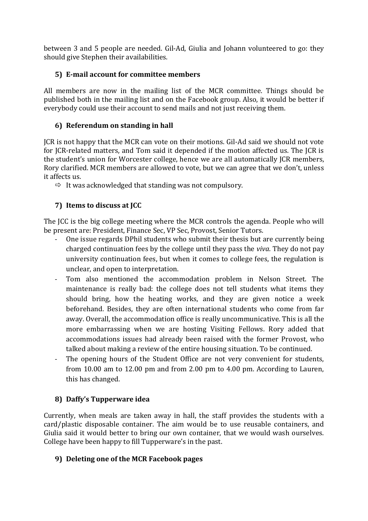between 3 and 5 people are needed. Gil-Ad, Giulia and Johann volunteered to go: they should give Stephen their availabilities.

# **5) E-mail account for committee members**

All members are now in the mailing list of the MCR committee. Things should be published both in the mailing list and on the Facebook group. Also, it would be better if everybody could use their account to send mails and not just receiving them.

## **6) Referendum on standing in hall**

JCR is not happy that the MCR can vote on their motions. Gil-Ad said we should not vote for JCR-related matters, and Tom said it depended if the motion affected us. The JCR is the student's union for Worcester college, hence we are all automatically JCR members, Rory clarified. MCR members are allowed to vote, but we can agree that we don't, unless it affects us.

 $\Rightarrow$  It was acknowledged that standing was not compulsory.

# **7) Items to discuss at JCC**

The JCC is the big college meeting where the MCR controls the agenda. People who will be present are: President, Finance Sec, VP Sec, Provost, Senior Tutors.

- One issue regards DPhil students who submit their thesis but are currently being charged continuation fees by the college until they pass the *viva*. They do not pay university continuation fees, but when it comes to college fees, the regulation is unclear, and open to interpretation.
- Tom also mentioned the accommodation problem in Nelson Street. The maintenance is really bad: the college does not tell students what items they should bring, how the heating works, and they are given notice a week beforehand. Besides, they are often international students who come from far away. Overall, the accommodation office is really uncommunicative. This is all the more embarrassing when we are hosting Visiting Fellows. Rory added that accommodations issues had already been raised with the former Provost, who talked about making a review of the entire housing situation. To be continued.
- The opening hours of the Student Office are not very convenient for students, from 10.00 am to 12.00 pm and from 2.00 pm to 4.00 pm. According to Lauren, this has changed.

## **8) Daffy's Tupperware idea**

Currently, when meals are taken away in hall, the staff provides the students with a card/plastic disposable container. The aim would be to use reusable containers, and Giulia said it would better to bring our own container, that we would wash ourselves. College have been happy to fill Tupperware's in the past.

## **9) Deleting one of the MCR Facebook pages**